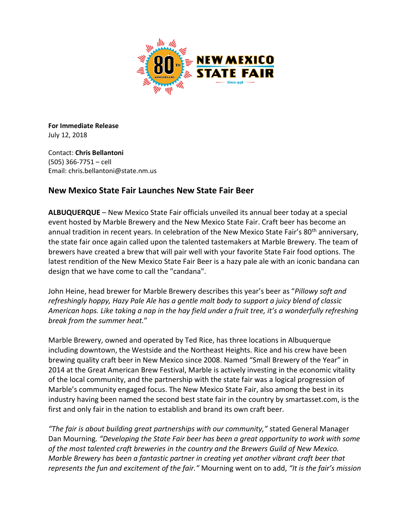

**For Immediate Release** July 12, 2018

Contact: **Chris Bellantoni** (505) 366-7751 – cell Email: chris.bellantoni@state.nm.us

## **New Mexico State Fair Launches New State Fair Beer**

**ALBUQUERQUE** – New Mexico State Fair officials unveiled its annual beer today at a special event hosted by Marble Brewery and the New Mexico State Fair. Craft beer has become an annual tradition in recent years. In celebration of the New Mexico State Fair's 80<sup>th</sup> anniversary, the state fair once again called upon the talented tastemakers at Marble Brewery. The team of brewers have created a brew that will pair well with your favorite State Fair food options. The latest rendition of the New Mexico State Fair Beer is a hazy pale ale with an iconic bandana can design that we have come to call the "candana".

John Heine, head brewer for Marble Brewery describes this year's beer as "*Pillowy soft and refreshingly hoppy, Hazy Pale Ale has a gentle malt body to support a juicy blend of classic American hops. Like taking a nap in the hay field under a fruit tree, it's a wonderfully refreshing break from the summer heat.*"

Marble Brewery, owned and operated by Ted Rice, has three locations in Albuquerque including downtown, the Westside and the Northeast Heights. Rice and his crew have been brewing quality craft beer in New Mexico since 2008. Named "Small Brewery of the Year" in 2014 at the Great American Brew Festival, Marble is actively investing in the economic vitality of the local community, and the partnership with the state fair was a logical progression of Marble's community engaged focus. The New Mexico State Fair, also among the best in its industry having been named the second best state fair in the country by smartasset.com, is the first and only fair in the nation to establish and brand its own craft beer.

*"The fair is about building great partnerships with our community,"* stated General Manager Dan Mourning*. "Developing the State Fair beer has been a great opportunity to work with some of the most talented craft breweries in the country and the Brewers Guild of New Mexico. Marble Brewery has been a fantastic partner in creating yet another vibrant craft beer that represents the fun and excitement of the fair."* Mourning went on to add, *"It is the fair's mission*